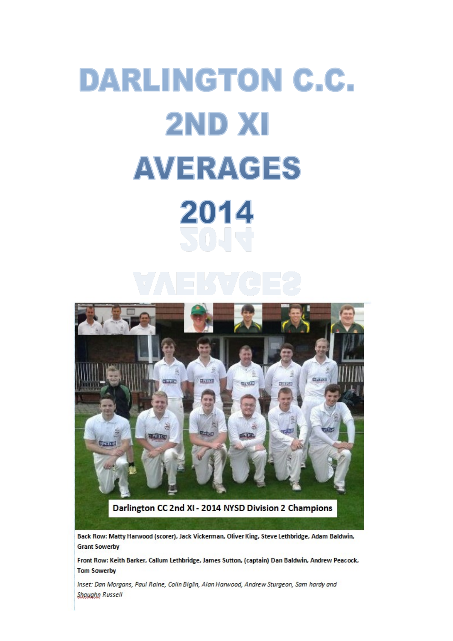## DARLINGTON C.C. 2ND XI AVERAGES 2014



Back Row: Matty Harwood (scorer), Jack Vickerman, Oliver King, Steve Lethbridge, Adam Baldwin, **Grant Sowerby** 

Front Row: Keith Barker, Callum Lethbridge, James Sutton, (captain) Dan Baldwin, Andrew Peacock, **Tom Sowerby** 

Inset: Dan Morgans, Paul Raine, Colin Biglin, Alan Harwood, Andrew Sturgeon, Sam hardy and Shaughn Russell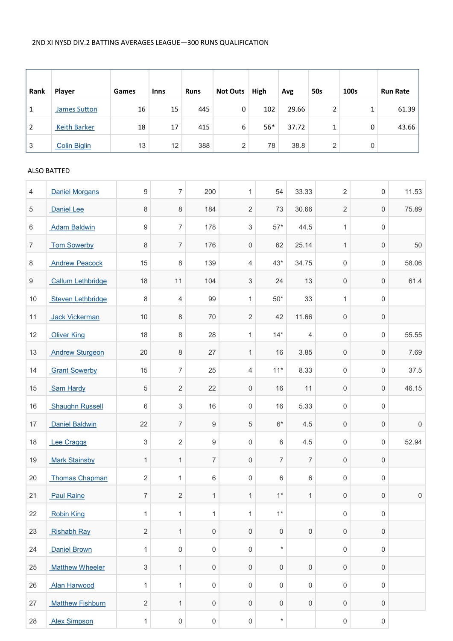| Rank | Player              | Games | <b>Inns</b> | <b>Runs</b> | <b>Not Outs</b> | High  | Avg   | 50s | 100s | <b>Run Rate</b> |
|------|---------------------|-------|-------------|-------------|-----------------|-------|-------|-----|------|-----------------|
|      | <b>James Sutton</b> | 16    | 15          | 445         | 0               | 102   | 29.66 | າ   |      | 61.39           |
|      | <b>Keith Barker</b> | 18    | 17          | 415         | 6               | $56*$ | 37.72 |     | 0    | 43.66           |
| 3    | <b>Colin Biglin</b> | 13    | 12          | 388         | 2               | 78    | 38.8  | 2   |      |                 |

## ALSO BATTED

| 4              | <b>Daniel Morgans</b>   | $\boldsymbol{9}$        | $\overline{7}$      | 200                 | $\mathbf{1}$              | 54                  | 33.33               | $\overline{2}$      | 0                   | 11.53       |
|----------------|-------------------------|-------------------------|---------------------|---------------------|---------------------------|---------------------|---------------------|---------------------|---------------------|-------------|
| 5              | Daniel Lee              | 8                       | $\,8\,$             | 184                 | $\overline{2}$            | 73                  | 30.66               | $\overline{2}$      | $\mathsf{O}\xspace$ | 75.89       |
| 6              | <b>Adam Baldwin</b>     | $\boldsymbol{9}$        | $\boldsymbol{7}$    | 178                 | 3                         | $57*$               | 44.5                | $\mathbf{1}$        | 0                   |             |
| $\overline{7}$ | <b>Tom Sowerby</b>      | 8                       | $\boldsymbol{7}$    | 176                 | 0                         | 62                  | 25.14               | $\mathbf{1}$        | $\mathsf{O}\xspace$ | 50          |
| 8              | <b>Andrew Peacock</b>   | 15                      | $\,8\,$             | 139                 | 4                         | $43*$               | 34.75               | $\mathsf{O}\xspace$ | 0                   | 58.06       |
| 9              | Callum Lethbridge       | 18                      | 11                  | 104                 | $\ensuremath{\mathsf{3}}$ | 24                  | 13                  | $\mathsf{O}\xspace$ | 0                   | 61.4        |
| $10$           | Steven Lethbridge       | $\,8\,$                 | 4                   | 99                  | $\mathbf{1}$              | $50*$               | 33                  | 1                   | $\mathsf 0$         |             |
| 11             | Jack Vickerman          | $10$                    | $\,8\,$             | 70                  | $\overline{2}$            | 42                  | 11.66               | $\mathsf{O}\xspace$ | $\mathbf 0$         |             |
| 12             | <b>Oliver King</b>      | 18                      | $\,8\,$             | 28                  | $\mathbf{1}$              | $14*$               | 4                   | $\mathsf{O}\xspace$ | 0                   | 55.55       |
| 13             | <b>Andrew Sturgeon</b>  | 20                      | 8                   | 27                  | $\mathbf{1}$              | 16                  | 3.85                | $\mathsf{O}\xspace$ | 0                   | 7.69        |
| 14             | <b>Grant Sowerby</b>    | 15                      | $\overline{7}$      | 25                  | 4                         | $11*$               | 8.33                | $\mathsf{O}\xspace$ | $\mathsf 0$         | 37.5        |
| 15             | Sam Hardy               | 5                       | $\sqrt{2}$          | 22                  | 0                         | 16                  | 11                  | $\mathsf{O}\xspace$ | 0                   | 46.15       |
| 16             | <b>Shaughn Russell</b>  | 6                       | $\sqrt{3}$          | 16                  | 0                         | 16                  | 5.33                | $\mathsf 0$         | $\mathsf 0$         |             |
| 17             | Daniel Baldwin          | 22                      | $\overline{7}$      | $\hbox{9}$          | 5                         | $6*$                | 4.5                 | $\mathsf{O}\xspace$ | $\mathsf{O}\xspace$ | $\mathbf 0$ |
| 18             | <b>Lee Craggs</b>       | 3                       | $\sqrt{2}$          | 9                   | 0                         | 6                   | 4.5                 | $\mathsf 0$         | 0                   | 52.94       |
| 19             | <b>Mark Stainsby</b>    | $\mathbf{1}$            | $\mathbf{1}$        | $\overline{7}$      | 0                         | $\overline{7}$      | $\overline{7}$      | $\mathsf{O}\xspace$ | $\mathsf{O}\xspace$ |             |
| 20             | <b>Thomas Chapman</b>   | $\overline{2}$          | 1                   | 6                   | 0                         | 6                   | 6                   | $\mathsf 0$         | 0                   |             |
| 21             | <b>Paul Raine</b>       | $\boldsymbol{7}$        | $\sqrt{2}$          | $\mathbf{1}$        | $\mathbf{1}$              | $1*$                | $\mathbf{1}$        | $\mathsf{O}\xspace$ | $\mathsf 0$         | $\mathsf 0$ |
| 22             | <b>Robin King</b>       | $\mathbf{1}$            | 1                   | $\mathbf{1}$        | $\mathbf{1}$              | $1*$                |                     | $\mathsf{O}\xspace$ | $\mathsf 0$         |             |
| 23             | <b>Rishabh Ray</b>      | $\overline{\mathbf{c}}$ | 1                   | 0                   | $\mathsf{O}\xspace$       | $\mathsf{O}\xspace$ | 0                   | $\mathsf{O}\xspace$ | $\mathsf 0$         |             |
| 24             | Daniel Brown            | $\mathbf 1$             | $\mathsf{O}\xspace$ | $\mathsf{O}\xspace$ | 0                         | $\star$             |                     | $\mathsf 0$         | $\mathsf{O}\xspace$ |             |
| 25             | <b>Matthew Wheeler</b>  | 3                       | $\mathbf{1}$        | $\mathsf{O}\xspace$ | 0                         | 0                   | $\mathsf{O}\xspace$ | $\mathsf{O}\xspace$ | $\mathsf{O}\xspace$ |             |
| 26             | <b>Alan Harwood</b>     | $\mathbf{1}$            | 1                   | $\mathsf{O}\xspace$ | 0                         | 0                   | $\mathsf{O}\xspace$ | $\mathsf{O}\xspace$ | 0                   |             |
| 27             | <b>Matthew Fishburn</b> | $\sqrt{2}$              | $\mathbf{1}$        | 0                   | 0                         | $\mathbf 0$         | $\mathsf{O}\xspace$ | $\mathsf{O}\xspace$ | $\mathbf 0$         |             |
| 28             | <b>Alex Simpson</b>     | $\mathbf{1}$            | $\mathsf{O}\xspace$ | $\mathsf{O}\xspace$ | $\mathsf{O}\xspace$       | $\star$             |                     | $\mathsf{O}\xspace$ | $\mathsf{O}\xspace$ |             |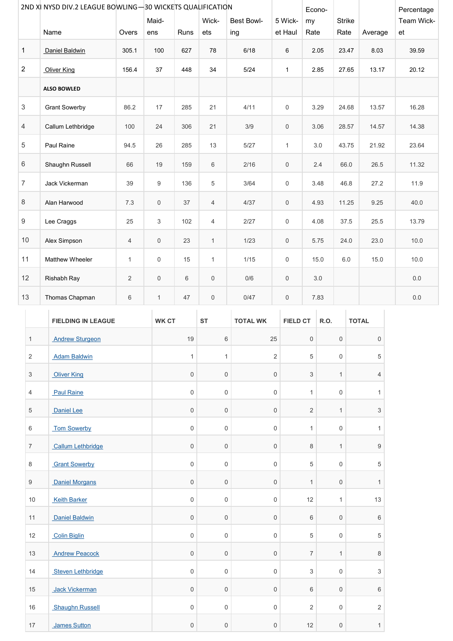|                | 2ND XI NYSD DIV.2 LEAGUE BOWLING-30 WICKETS QUALIFICATION |                |              |      |                |                   |                     | Econo- |               |         | Percentage |
|----------------|-----------------------------------------------------------|----------------|--------------|------|----------------|-------------------|---------------------|--------|---------------|---------|------------|
|                |                                                           |                | Maid-        |      | Wick-          | <b>Best Bowl-</b> | 5 Wick-             | my     | <b>Strike</b> |         | Team Wick- |
|                | Name                                                      | Overs          | ens          | Runs | ets            | ing               | et Haul             | Rate   | Rate          | Average | et         |
| 1              | Daniel Baldwin                                            | 305.1          | 100          | 627  | 78             | 6/18              | 6                   | 2.05   | 23.47         | 8.03    | 39.59      |
| $\overline{2}$ | <b>Oliver King</b>                                        | 156.4          | 37           | 448  | 34             | 5/24              | $\mathbf{1}$        | 2.85   | 27.65         | 13.17   | 20.12      |
|                | <b>ALSO BOWLED</b>                                        |                |              |      |                |                   |                     |        |               |         |            |
| 3              | <b>Grant Sowerby</b>                                      | 86.2           | 17           | 285  | 21             | 4/11              | $\mathbf 0$         | 3.29   | 24.68         | 13.57   | 16.28      |
| 4              | Callum Lethbridge                                         | 100            | 24           | 306  | 21             | 3/9               | $\mathsf{O}\xspace$ | 3.06   | 28.57         | 14.57   | 14.38      |
| 5              | Paul Raine                                                | 94.5           | 26           | 285  | 13             | 5/27              | $\mathbf{1}$        | 3.0    | 43.75         | 21.92   | 23.64      |
| 6              | Shaughn Russell                                           | 66             | 19           | 159  | 6              | 2/16              | $\mathbf 0$         | 2.4    | 66.0          | 26.5    | 11.32      |
| $\overline{7}$ | Jack Vickerman                                            | 39             | 9            | 136  | 5              | 3/64              | $\mathsf{O}$        | 3.48   | 46.8          | 27.2    | 11.9       |
| 8              | Alan Harwood                                              | 7.3            | $\mathbf 0$  | 37   | $\overline{4}$ | 4/37              | $\mathbf 0$         | 4.93   | 11.25         | 9.25    | 40.0       |
| 9              | Lee Craggs                                                | 25             | 3            | 102  | 4              | 2/27              | $\mathsf{O}\xspace$ | 4.08   | 37.5          | 25.5    | 13.79      |
| 10             | Alex Simpson                                              | 4              | $\mathsf{O}$ | 23   | $\mathbf{1}$   | 1/23              | $\mathbf 0$         | 5.75   | 24.0          | 23.0    | 10.0       |
| 11             | Matthew Wheeler                                           | $\mathbf{1}$   | 0            | 15   | $\mathbf{1}$   | 1/15              | 0                   | 15.0   | 6.0           | 15.0    | 10.0       |
| 12             | Rishabh Ray                                               | $\overline{2}$ | $\mathsf{O}$ | 6    | $\mathsf 0$    | 0/6               | $\mathsf{O}\xspace$ | 3.0    |               |         | 0.0        |
| 13             | Thomas Chapman                                            | 6              | $\mathbf{1}$ | 47   | 0              | 0/47              | 0                   | 7.83   |               |         | 0.0        |

|                           | <b>FIELDING IN LEAGUE</b> | <b>WK CT</b>        | <b>ST</b>           | <b>TOTAL WK</b>     | <b>FIELD CT</b>           | R.O.                | <b>TOTAL</b>              |
|---------------------------|---------------------------|---------------------|---------------------|---------------------|---------------------------|---------------------|---------------------------|
| $\mathbf{1}$              | <b>Andrew Sturgeon</b>    | 19                  | 6                   | 25                  | $\mathsf{O}\xspace$       | $\mathsf{O}\xspace$ | $\mathsf{O}$              |
| $\overline{2}$            | <b>Adam Baldwin</b>       | $\mathbf{1}$        | $\mathbf{1}$        | $\mathbf 2$         | 5                         | $\mathsf{O}\xspace$ | $\,$ 5 $\,$               |
| $\ensuremath{\mathsf{3}}$ | <b>Oliver King</b>        | $\mathsf{O}\xspace$ | 0                   | $\mathsf{O}\xspace$ | $\ensuremath{\mathsf{3}}$ | 1                   | $\overline{4}$            |
| 4                         | <b>Paul Raine</b>         | $\mathbf 0$         | 0                   | 0                   | $\mathbf{1}$              | $\mathsf{O}\xspace$ | 1                         |
| 5                         | Daniel Lee                | $\mathsf{O}\xspace$ | 0                   | $\mathsf{O}\xspace$ | $\overline{c}$            | $\mathbf{1}$        | $\ensuremath{\mathsf{3}}$ |
| 6                         | <b>Tom Sowerby</b>        | 0                   | 0                   | 0                   | $\mathbf{1}$              | $\mathsf{O}\xspace$ | $\mathbf{1}$              |
| $\boldsymbol{7}$          | Callum Lethbridge         | $\mathsf{O}\xspace$ | 0                   | 0                   | 8                         | $\mathbf{1}$        | $\boldsymbol{9}$          |
| 8                         | <b>Grant Sowerby</b>      | $\mathbf 0$         | 0                   | $\mathsf{O}\xspace$ | 5                         | $\mathsf{O}\xspace$ | $\,$ 5 $\,$               |
| $\boldsymbol{9}$          | <b>Daniel Morgans</b>     | $\mathsf{O}\xspace$ | $\mathsf{O}\xspace$ | $\mathsf{O}\xspace$ | $\mathbf{1}$              | $\mathsf{O}\xspace$ | $\mathbf{1}$              |
| $10$                      | <b>Keith Barker</b>       | $\mathsf{O}\xspace$ | 0                   | $\mathsf{O}\xspace$ | 12                        | $\mathbf{1}$        | 13                        |
| 11                        | Daniel Baldwin            | $\mathsf{O}\xspace$ | 0                   | $\mathsf{O}\xspace$ | $6\,$                     | $\mathsf{O}\xspace$ | $\,6\,$                   |
| 12                        | <b>Colin Biglin</b>       | $\mathsf{O}\xspace$ | 0                   | $\mathsf{O}\xspace$ | 5                         | $\mathsf{O}\xspace$ | $\,$ 5 $\,$               |
| 13                        | <b>Andrew Peacock</b>     | $\mathbf 0$         | 0                   | 0                   | 7                         | $\mathbf{1}$        | $\,8\,$                   |
| 14                        | Steven Lethbridge         | 0                   | 0                   | 0                   | 3                         | $\mathsf{O}\xspace$ | $\ensuremath{\mathsf{3}}$ |
| 15                        | Jack Vickerman            | $\mathsf{O}\xspace$ | 0                   | $\mathsf{O}\xspace$ | 6                         | $\mathsf{O}\xspace$ | $\,6\,$                   |
| 16                        | <b>Shaughn Russell</b>    | $\mathbf 0$         | 0                   | 0                   | $\overline{2}$            | $\mathsf{O}\xspace$ | $\sqrt{2}$                |
| 17                        | James Sutton              | 0                   | 0                   | 0                   | 12                        | $\mathsf{O}\xspace$ | $\mathbf{1}$              |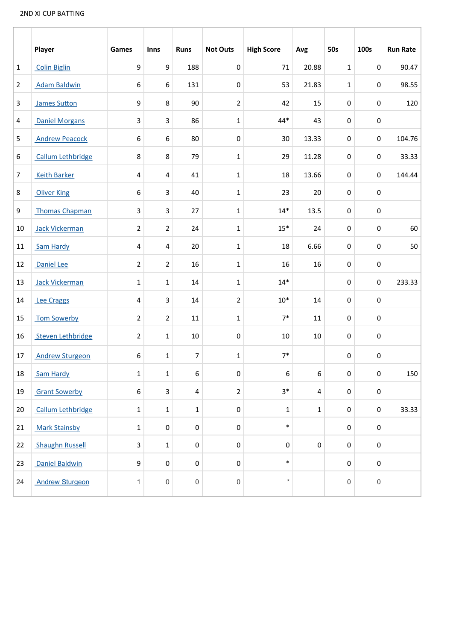## 2ND XI CUP BATTING

|                | Player                   | Games                   | <b>Inns</b>      | <b>Runs</b>      | <b>Not Outs</b>     | <b>High Score</b> | Avg          | <b>50s</b>          | 100s                | <b>Run Rate</b> |
|----------------|--------------------------|-------------------------|------------------|------------------|---------------------|-------------------|--------------|---------------------|---------------------|-----------------|
| $\mathbf{1}$   | <b>Colin Biglin</b>      | 9                       | 9                | 188              | $\pmb{0}$           | 71                | 20.88        | $\mathbf{1}$        | $\pmb{0}$           | 90.47           |
| 2              | <b>Adam Baldwin</b>      | 6                       | $\boldsymbol{6}$ | 131              | $\pmb{0}$           | 53                | 21.83        | $\mathbf{1}$        | $\pmb{0}$           | 98.55           |
| 3              | <b>James Sutton</b>      | $\boldsymbol{9}$        | $\bf 8$          | 90               | $\overline{2}$      | 42                | 15           | $\pmb{0}$           | $\pmb{0}$           | 120             |
| 4              | <b>Daniel Morgans</b>    | 3                       | $\mathsf{3}$     | 86               | $\mathbf{1}$        | 44*               | 43           | $\pmb{0}$           | $\pmb{0}$           |                 |
| 5              | <b>Andrew Peacock</b>    | 6                       | 6                | 80               | $\pmb{0}$           | 30                | 13.33        | $\pmb{0}$           | $\pmb{0}$           | 104.76          |
| 6              | Callum Lethbridge        | 8                       | $\bf 8$          | 79               | $\mathbf 1$         | 29                | 11.28        | $\pmb{0}$           | $\mathbf 0$         | 33.33           |
| $\overline{7}$ | <b>Keith Barker</b>      | $\overline{\mathbf{4}}$ | 4                | 41               | $1\,$               | 18                | 13.66        | $\pmb{0}$           | $\mathbf 0$         | 144.44          |
| 8              | <b>Oliver King</b>       | 6                       | $\mathsf{3}$     | 40               | $\mathbf{1}$        | 23                | 20           | $\pmb{0}$           | $\mathbf 0$         |                 |
| 9              | <b>Thomas Chapman</b>    | 3                       | $\overline{3}$   | 27               | $\mathbf{1}$        | $14*$             | 13.5         | $\pmb{0}$           | $\boldsymbol{0}$    |                 |
| 10             | Jack Vickerman           | $\overline{2}$          | $\overline{2}$   | 24               | $\mathbf{1}$        | $15*$             | 24           | $\pmb{0}$           | $\boldsymbol{0}$    | 60              |
| 11             | Sam Hardy                | 4                       | $\sqrt{4}$       | 20               | $1\,$               | 18                | 6.66         | $\pmb{0}$           | $\pmb{0}$           | 50              |
| 12             | Daniel Lee               | $\overline{2}$          | $\overline{2}$   | 16               | $\mathbf 1$         | 16                | 16           | $\mathbf 0$         | $\pmb{0}$           |                 |
| 13             | Jack Vickerman           | 1                       | $\mathbf{1}$     | 14               | $1\,$               | $14*$             |              | $\mathbf 0$         | $\mathbf 0$         | 233.33          |
| 14             | <b>Lee Craggs</b>        | 4                       | 3                | 14               | $\overline{2}$      | $10*$             | 14           | $\mathbf 0$         | $\pmb{0}$           |                 |
| 15             | <b>Tom Sowerby</b>       | $\overline{2}$          | $\overline{2}$   | 11               | $\mathbf{1}$        | $7*$              | 11           | $\mathbf 0$         | $\pmb{0}$           |                 |
| 16             | <b>Steven Lethbridge</b> | $\overline{2}$          | $\mathbf 1$      | 10               | $\pmb{0}$           | 10                | 10           | $\pmb{0}$           | 0                   |                 |
| 17             | <b>Andrew Sturgeon</b>   | 6                       | $\mathbf{1}$     | 7                | $1\,$               | $7*$              |              | $\pmb{0}$           | $\pmb{0}$           |                 |
| 18             | Sam Hardy                | 1                       | $\mathbf{1}$     | 6                | $\pmb{0}$           | 6                 | 6            | $\pmb{0}$           | $\pmb{0}$           | 150             |
| 19             | <b>Grant Sowerby</b>     | 6                       | $\overline{3}$   | $\overline{4}$   | $\overline{2}$      | $3*$              | 4            | $\mathbf 0$         | $\pmb{0}$           |                 |
| 20             | Callum Lethbridge        | $\mathbf 1$             | $\mathbf 1$      | $\mathbf 1$      | $\pmb{0}$           | $\mathbf 1$       | $\mathbf{1}$ | $\mathbf 0$         | $\pmb{0}$           | 33.33           |
| 21             | <b>Mark Stainsby</b>     | $\mathbf 1$             | $\pmb{0}$        | $\pmb{0}$        | $\pmb{0}$           | $\ast$            |              | $\mathbf 0$         | $\pmb{0}$           |                 |
| 22             | <b>Shaughn Russell</b>   | 3                       | $\mathbf 1$      | $\pmb{0}$        | $\pmb{0}$           | $\pmb{0}$         | $\pmb{0}$    | $\pmb{0}$           | $\mathbf 0$         |                 |
| 23             | <b>Daniel Baldwin</b>    | 9                       | $\pmb{0}$        | $\boldsymbol{0}$ | $\pmb{0}$           | $\ast$            |              | $\mathbf 0$         | $\mathbf 0$         |                 |
| 24             | <b>Andrew Sturgeon</b>   | 1                       | 0                | 0                | $\mathsf{O}\xspace$ | $\star$           |              | $\mathsf{O}\xspace$ | $\mathsf{O}\xspace$ |                 |